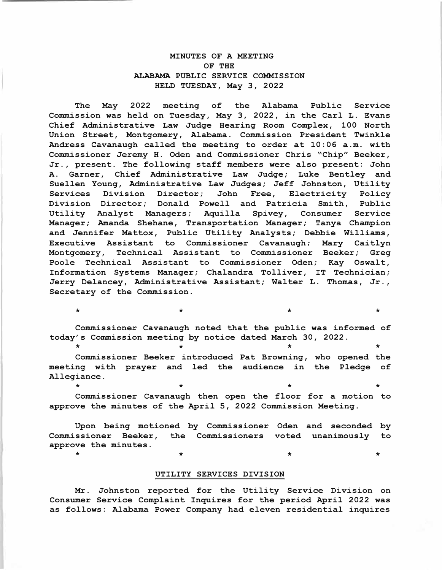# **MINUTES OF A MEETING ALABAMA PUBLIC SERVICE COMMISSION OF THE HELD TUESDAY, May 3, 2022**

**The May 2022 meeting of the Alabama Public Service Commission was held on Tuesday, May 3, 2022, in the Carl L. Evans Chief Administrative Law Judge Hearing Room Complex, 100 North Union Street, Montgomery, Alabama. Commission President Twinkle Andress Cavanaugh called the meeting to order at 10:06 a.m. with Commissioner Jeremy H. Oden and Commissioner Chris "Chip" Beeker, Jr., present. The following staff members were also present: John A. Garner, Chief Administrative Law Judge; Luke Bentley and Suellen Young, Administrative Law Judges; Jeff Johnston, Utility**  Services Division Director; John Free, Electricity **Division Director; Donald Powell and Patricia Smith, Public**  Utility Analyst Managers; Aquilla **Manager; Amanda Shehane, Transportation Manager; Tanya Champion and Jennifer Mattox, Public Utility Analysts; Debbie Williams, Executive Assistant to Commissioner Cavanaugh; Mary Caitlyn Montgomery, Technical Assistant to Commissioner Beeker; Greg Poole Technical Assistant to Commissioner Oden; Kay Oswalt, Information Systems Manager; Chalandra Tolliver, IT Technician; Jerry Delancey, Administrative Assistant; Walter L. Thomas, Jr., Secretary of the Commission.** 

**Commissioner Cavanaugh noted that the public was informed of today's Commission meeting by notice dated March 30, 2022.**  \* \* \* \*

 $\star$   $\star$   $\star$   $\star$   $\star$   $\star$ 

**Commissioner Beeker introduced Pat Browning, who opened the meeting with prayer and led the audience in the Pledge of Allegiance.**  \* \* \* \*

**Commissioner Cavanaugh then open the floor for a motion to approve the minutes of the April 5, 2022 Commission Meeting.** 

**Upon being motioned by Commissioner Oden and seconded by Commissioner Beeker, the Commissioners voted unanimously to approve the minutes.**  \* \* \* \*

## **UTILITY SERVICES DIVISION**

**Mr. Johnston reported for the Utility Service Division on Consumer Service Complaint Inquires for the period April 2022 was as follows: Alabama Power Company had eleven residential inquires**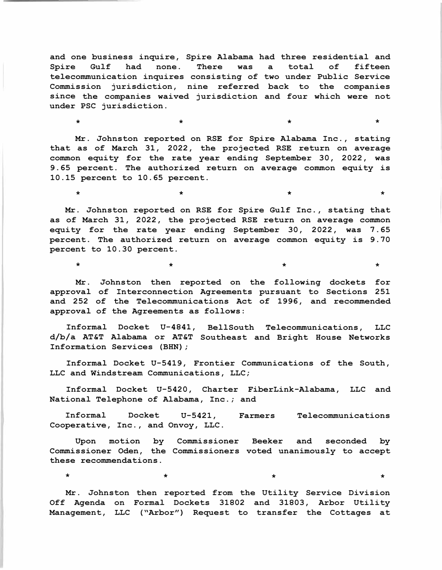**and one business inquire, Spire Alabama had three residential and Spire Gulf had none. There was a total of fifteen telecommunication inquires consisting of two under Public Service Commission jurisdiction, nine referred back to the companies since the companies waived jurisdiction and four which were not under PSC jurisdiction.** 

 $\star$   $\star$   $\star$   $\star$   $\star$   $\star$   $\star$ 

 $\star$   $\star$   $\star$   $\star$   $\star$   $\star$   $\star$ 

**Mr. Johnston reported on RSE for Spire Alabama Inc., stating that as of March 31, 2022, the projected RSE return on average common equity for the rate year ending September 30, 2022, was 9.65 percent. The authorized return on average common equity is 10.15 percent to 10.65 percent.** 

**Mr. Johnston reported on RSE for Spire Gulf Inc., stating that as of March 31, 2022, the projected RSE return on average common equity for the rate year ending September 30, 2022, was 7. 65 percent. The authorized return on average common equity is 9. 70 percent to 10.30 percent.** 

**Mr. Johnston then reported on the following dockets for approval of Interconnection Agreements pursuant to Sections 251 and 252 of the Telecommunications Act of 1996, and recommended approval of the Agreements as follows:** 

 $\star$   $\star$   $\star$   $\star$   $\star$ 

**Informal Docket U-4841, BellSouth Telecommunications, LLC d/b/a AT&T Alabama or AT&T Southeast and Bright House Networks Information Services (BHN);** 

**Informal Docket U-5419, Frontier Communications of the South, LLC and Windstream Communications, LLC;** 

**Informal Docket U-5420, Charter FiberLink-Alabama, LLC and National Telephone of Alabama, Inc.; and** 

**Informal Docket U-5421, Farmers Telecommunications Cooperative, Inc., and Onvoy, LLC.** 

**Upon motion by Commissioner Beeker and seconded by Commissioner Oden, the Commissioners voted unanimously to accept these recommendations.** 

 $\star$   $\star$   $\star$   $\star$   $\star$   $\star$   $\star$ 

**Mr. Johnston then reported from the Utility Service Division Off Agenda on Formal Dockets 31802 and 31803, Arbor Utility Management, LLC ("Arbor") Request to transfer the Cottages at**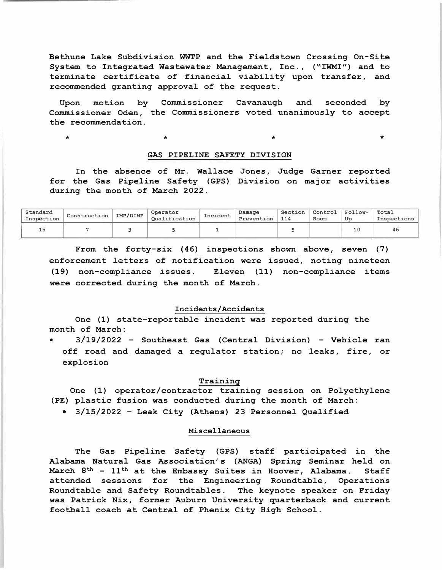Bethune Lake Subdivision WWTP and the Fieldstown Crossing On-Site System to Integrated Wastewater Management, Inc., **("IWMI")** and to terminate certificate of financial viability upon transfer, and recommended granting approval of the request.

Upon motion Commissioner Oden, the Commissioners voted unanimously to accept the recommendation. Commissioner Cavanaugh and seconded by

\*

 $\star$   $\star$   $\star$ 

# **GAS PIPELINE SAFETY DIVISION**

In the absence of Mr. Wallace Jones, Judge Garner reported for the Gas Pipeline Safety (GPS) Division on major activities during the month of March 2022.

| Standard<br>Inspection | Construction | IMP/DIMP | Operator<br>Oualification | Incident | Damage<br>Prevention | Section<br>114 | Control<br>Room | Follow-<br>Up | Total<br>Inspections |
|------------------------|--------------|----------|---------------------------|----------|----------------------|----------------|-----------------|---------------|----------------------|
| 15                     |              |          |                           |          |                      |                |                 | 10            |                      |

From the forty-six **(46)** inspections shown above, seven (7) enforcement letters of notification were issued, noting nineteen (19) non-compliance issues. Eleven (11) non-compliance items were corrected during the month of March.

## Incidents/Accidents

One (1) state-reportable incident was reported during the month of March:

• 3/19/2022 - Southeast Gas (Central Division) - Vehicle ran off road and damaged a regulator station; no leaks, fire, or explosion

## Training

One (1) operator/contractor training session on Polyethylene (PE) plastic fusion was conducted during the month of March:

• 3/15/2022 - Leak City (Athens) 23 Personnel Qualified

# Miscellaneous

The Gas Pipeline Safety (GPS) staff participated in the Alabama Natural Gas Association's **(ANGA)** Spring Seminar held on March 8<sup>th</sup> -  $11^{\text{th}}$  at the Embassy Suites in Hoover, Alabama. Staff attended sessions for the Engineering Roundtable, Operations Roundtable and Safety Roundtables. The keynote speaker on Friday was Patrick **Nix,** former Auburn University quarterback and current football coach at Central of Phenix City High School.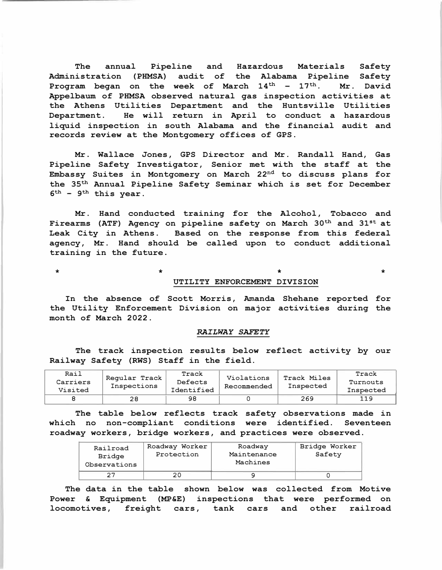**The annual Pipeline and Hazardous Materials Safety Administration (PHMSA) audit of the Alabama Pipeline Safety**  Program began on the week of March 14<sup>th</sup> - 17<sup>th</sup>. Mr. David **Appelbaum of PHMSA observed natural gas inspection activities at the Athens Utilities Department and the Huntsville Utilities Department. He will return in April to conduct a hazardous liquid inspection in south Alabama and the financial audit and records review at the Montgomery offices of GPS.** 

**Mr. Wallace Jones , GPS Director and Mr. Randall Hand, Gas Pipeline Safety Investigator, Senior met with the staff at the Embassy Suites in Montgomery on March 22nd to discuss plans for the 35� Annual Pipeline Safety Seminar which is set for December 6� - 9� this year.** 

**Mr. Hand conducted training for the Alcohol, Tobacco and**  Firearms (ATF) Agency on pipeline safety on March 30<sup>th</sup> and 31<sup>st</sup> at **Leak City in Athens. Based on the response from this federal agency, Mr. Hand should be called upon to conduct additional training in the future.** 

\* \* **\*** 

### **UTILITY ENFORCEMENT DIVISION**

\*

**In the absence of Scott Morris, Amanda Shehane reported for the Utility Enforcement Division on major activities during the month of March 2022.** 

# *RAILWAY SAFETY*

**The track inspection results below reflect activity by our Railway Safety (RWS) Staff in the field.** 

| Rail<br>Carriers<br>Visited | Regular Track<br>Inspections | Track<br>Defects<br>Identified | Violations<br>Recommended | Track Miles<br>Inspected | Track<br>Turnouts<br>Inspected |
|-----------------------------|------------------------------|--------------------------------|---------------------------|--------------------------|--------------------------------|
|                             | 28                           | 98                             |                           | 269                      | 119                            |

**The table below reflects track safety observations made in which no non-compliant conditions were identified. Seventeen roadway workers, bridge workers, and practices were observed.** 

| Railroad<br>Bridge<br>Observations | Roadway Worker<br>Protection | Roadway<br>Maintenance<br>Machines | Bridge Worker<br>Safety |
|------------------------------------|------------------------------|------------------------------------|-------------------------|
|                                    | 20                           |                                    |                         |

**The data in the table shown below was collected from Motive Power & Equipment (MP&E) inspections that were performed on locomotives, freight cars, tank cars and other railroad**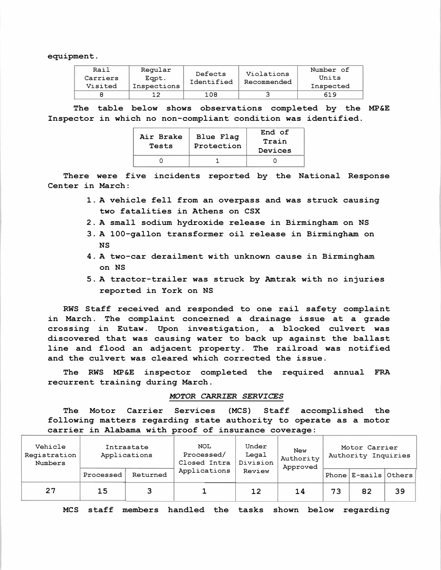equipment.

| Rail<br>Carriers<br>Visited | Regular<br>Eapt.<br>Inspections | Defects<br>Identified | Violations<br>Recommended | Number of<br>Units<br>Inspected |
|-----------------------------|---------------------------------|-----------------------|---------------------------|---------------------------------|
|                             |                                 | 108                   |                           | 619                             |

The table below shows observations completed by the MP&E Inspector in which no non-compliant condition was identified.

| Air Brake<br>Tests | Blue Flag<br>Protection | End of<br>Train<br>Devices |
|--------------------|-------------------------|----------------------------|
|                    |                         |                            |

There were five incidents reported by the National Response Center in March:

- 1. A vehicle fell from an overpass and was struck causing two fatalities in Athens on CSX
- 2. A small sodium hydroxide release in Birmingham on NS
- 3. A 100-gallon transformer oil release in Birmingham on NS
- 4. A two-car derailment with unknown cause in Birmingham on NS
- 5. A tractor-trailer was struck by Amtrak with no injuries reported in York on NS

RWS Staff received and responded to one rail safety complaint in March. The complaint concerned a drainage issue at a grade crossing in Eutaw. Upon investigation, a blocked culvert was discovered that was causing water to back up against the ballast line and flood an adjacent property. The railroad was notified and the culvert was cleared which corrected the issue.

The RWS MP&E inspector completed the required annual FRA recurrent training during March.

#### *MOTOR CARRIER SERVICES*

The Motor Carrier Services (MCS) Staff accomplished the following matters regarding state authority to operate as a motor carrier in Alabama with proof of insurance coverage:

| Vehicle<br>Registration<br>Numbers | Intrastate<br>Applications |          | <b>NOL</b><br>Processed/<br>Closed Intra | Under<br>Legal<br>Division | <b>New</b><br>Authority<br>Approved | Motor Carrier<br>Authority Inquiries |                      |    |
|------------------------------------|----------------------------|----------|------------------------------------------|----------------------------|-------------------------------------|--------------------------------------|----------------------|----|
|                                    | Processed                  | Returned | Applications                             | Review                     |                                     |                                      | Phone E-mails Others |    |
| 27                                 | 15                         | 3        |                                          | 12                         | 14                                  | 73                                   | 82                   | 39 |

MCS staff members handled the tasks shown below regarding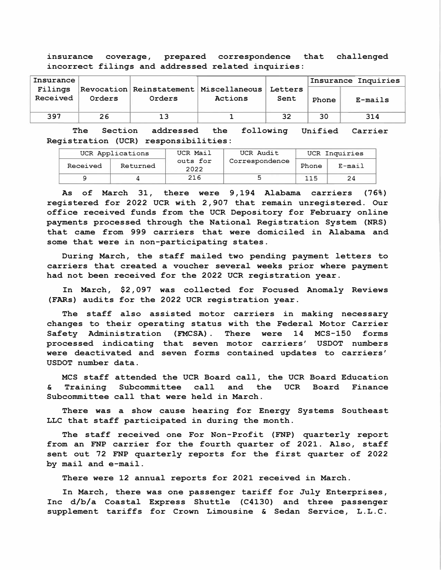**insurance coverage, prepared correspondence that challenged incorrect filings and addressed related inquiries:** 

| Insurance |        |        |                                          |         |       | Insurance Inquiries |
|-----------|--------|--------|------------------------------------------|---------|-------|---------------------|
| Filings   |        |        | Revocation Reinstatement   Miscellaneous | Letters |       |                     |
| Received  | Orders | Orders | Actions                                  | Sent    | Phone | E-mails             |
|           |        |        |                                          |         |       |                     |
| 397       | 26     |        |                                          | 32      | 30    | 314                 |

The Section addressed the **Registration (UCR) responsibilities: Unified Carrier** 

| UCR Applications |          | UCR Mail         | UCR Audit      | UCR Inquiries |               |  |
|------------------|----------|------------------|----------------|---------------|---------------|--|
| Received         | Returned | outs for<br>2022 | Correspondence | Phone         | $E - m a i 1$ |  |
|                  |          | 216              |                | 115           |               |  |

**As of March 31, there were 9,194 Alabama carriers (76%) registered for 2022 UCR with 2,907 that remain unregistered. Our office received funds from the UCR Depository for February online payments processed through the National Registration System (NRS) that came from 999 carriers that were domiciled in Alabama and some that were in non-participating states.** 

**During March, the staff mailed two pending payment letters to carriers that created a voucher several weeks prior where payment had not been received for the 2022 UCR registration year.** 

**In March, \$2,097 was collected for Focused Anomaly Reviews (FARs) audits for the 2022 UCR registration year.** 

**The staff also assisted motor carriers in making necessary changes to their operating status with the Federal Motor Carrier Safety Administration (FMCSA). There were 14 MCS-150 forms processed indicating that seven motor carriers' USDOT numbers were deactivated and seven forms contained updates to carriers' USDOT number data.** 

**MCS staff attended the UCR Board call, the UCR Board Education & Training Subcommittee call and the UCR Subcommittee call that were held in March. Board Finance** 

**There was a show cause hearing for Energy Systems Southeast LLC that staff participated in during the month.** 

**The staff received one For Non-Profit (FNP) quarterly report from an FNP carrier for the fourth quarter of 2021. Also, staff sent out 72 FNP quarterly reports for the first quarter of 2022 by mail and e-mail.** 

**There were 12 annual reports for 2021 received in March.** 

**In March, there was one passenger tariff for July Enterprises, Inc d/b/a Coastal Express Shuttle (C4130) and three passenger supplement tariffs for Crown Limousine & Sedan Service, L.L.C.**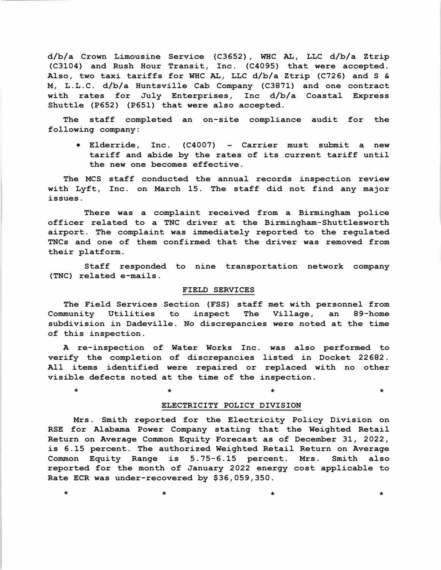d/b/a Crown Limousine Service (C3652), WHC AL, LLC d/b/a Ztrip (C3104) and Rush Hour Transit, Inc. (C4095) that were accepted. Also, two taxi tariffs for WHC AL, LLC d/b/a Ztrip (C726) and S & M, L. L. C. d/b/a Huntsville Cab Company (C3871) and one contract with rates for July Enterprises, Inc d/b/a Coastal Express Shuttle (P652) (P651) that were also accepted.

The staff completed an on-site compliance audit for the following company:

• Elderride, Inc. (C4007) - Carrier must submit a new tariff and abide by the rates of its current tariff until the new one becomes effective.

The MCS staff conducted the annual records inspection review with Lyft, Inc. on March 15. The staff did not find any major issues.

There was a complaint received from a Birmingham police officer related to a TNC driver at the Birmingham-Shuttlesworth airport. The complaint was immediately reported to the regulated TNCs and one of them confirmed that the driver was removed from their platform.

Staff responded to nine transportation network company (TNC) related e-mails.

#### FIELD SERVICES

The Field Services Section (FSS) staff met with personnel from<br>munity Utilities to inspect The Village, an 89-home Community Utilities to inspect The Village, an 89-home subdivision in Dadeville. No discrepancies were noted at the time of this inspection.

A re-inspection of Water Works Inc. was also performed to verify the completion of discrepancies listed in Docket 22682. All items identified were repaired or replaced with no other visible defects noted at the time of the inspection.

## ELECTRICITY POLICY DIVISION

 $\star$   $\star$   $\star$   $\star$   $\star$   $\star$   $\star$ 

Mrs. Smith reported for the Electricity Policy Division on RSE for Alabama Power Company stating that the Weighted Retail Return on Average Common Equity Forecast as of December 31, 2022, is 6.15 percent. The authorized Weighted Retail Return on Average Common Equity Range is 5.75-6.15 percent. Mrs. Smith also reported for the month of January 2022 energy cost applicable to Rate ECR was under-recovered by \$36,059,350.

 $\star$   $\star$   $\star$   $\star$   $\star$   $\star$   $\star$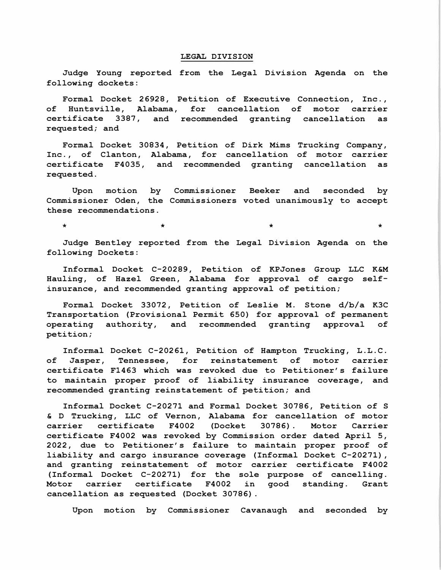#### **LEGAL DIVISION**

**Judge Young reported from the Legal Division Agenda on the following dockets:** 

**Formal Docket 26928, Petition of Executive Connection, Inc., of Huntsville, Alabama, for cancellation of motor carrier certificate 3387, and recommended granting cancellation as requested; and** 

**Formal Docket 30834, Petition of Dirk Mims Trucking Company, Inc., of Clanton, Alabama, for cancellation of motor carrier certificate F4035, and recommended granting cancellation as requested.** 

**Upon motion by Commissioner Beeker and seconded by Commissioner Oden, the Commissioners voted unanimously to accept these recommendations.** 

 $\star$   $\star$   $\star$   $\star$   $\star$   $\star$   $\star$ 

**Judge Bentley reported from the Legal Division Agenda on the following Dockets:** 

**Informal Docket C-20289, Petition of KPJones Group LLC K&M Hauling, of Hazel Green, Alabama for approval of cargo selfinsurance, and recommended granting approval of petition;** 

**Formal Docket 33072, Petition of Leslie M. Stone d/b/a K3C Transportation (Provisional Permit 650) for approval of permanent operating authority, and recommended granting approval of petition;** 

**Informal Docket C-20261, Petition of Hampton Trucking, L.L.C. of Jasper, Tennessee, for reinstatement of motor carrier certificate Fl463 which was revoked due to Petitioner's failure to maintain proper proof of liability insurance coverage, and recommended granting reinstatement of petition; and** 

**Informal Docket C-20271 and Formal Docket 30786, Petition of S & D Trucking, LLC of Vernon, Alabama for cancellation of motor**  carrier certificate **certificate F4002 was revoked by Commission order dated April 5, 2022, due to Petitioner's failure to maintain proper proof of liability and cargo insurance coverage (Informal Docket C-20271), and granting reinstatement of motor carrier certificate F4002 (Informal Docket C-20271) for the sole purpose of cancelling. Motor carrier certificate F4002 in good standing. Grant cancellation as requested (Docket 30786).** 

**Upon motion by Commissioner Cavanaugh and seconded by**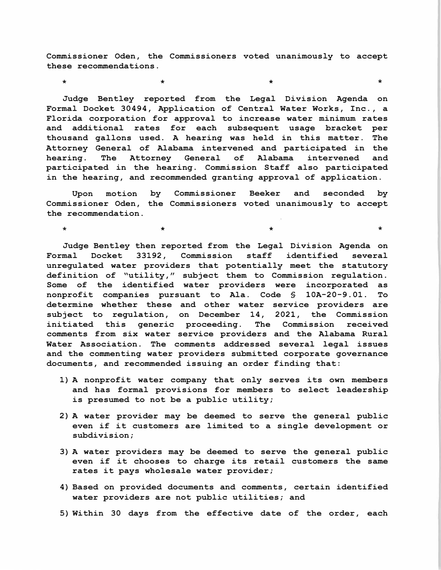**Commissioner Oden, the Commissioners voted unanimously to accept these recommendations.** 

 $\star$   $\star$   $\star$   $\star$   $\star$   $\star$   $\star$   $\star$ 

\*

**Judge Bentley reported from the Legal Division Agenda on Formal Docket 30494, Application of Central Water Works, Inc., a Florida corporation for approval to increase water minimum rates and additional rates for each subsequent usage bracket per thousand gallons used. A hearing was held in this matter. The Attorney General of Alabama intervened and participated in the hearing. The Attorney General of Alabama intervened and participated in the hearing. Commission Staff also participated in the hearing, and recommended granting approval of application.** 

**Upon motion by Commissioner Beeker and seconded by Commissioner Oden, the Commissioners voted unanimously to accept the recommendation.** 

 $\star$   $\star$   $\star$ 

**Judge Bentley then reported from the Legal Division Agenda on Formal Docket 33192, Commission staff identified several unregulated water providers that potentially meet the statutory definition of "utility," subject them to Commission regulation. Some of the identified water providers were incorporated as nonprofit companies pursuant to Ala. Code § lOA-20-9.01. To determine whether these and other water service providers are subject to regulation, on December 14, 2021, the Commission initiated this generic proceeding. The Commission received comments from six water service providers and the Alabama Rural Water Association. The comments addressed several legal issues and the commenting water providers submitted corporate governance documents, and recommended issuing an order finding that:** 

- **1) A nonprofit water company that only serves its own members and has formal provisions for members to select leadership is presumed to not be a public utility;**
- **2) A water provider may be deemed to serve the general public even if it customers are limited to a single development or subdivision;**
- **3) A water providers may be deemed to serve the general public even if it chooses to charge its retail customers the same rates it pays wholesale water provider;**
- **4) Based on provided documents and comments, certain identified water providers are not public utilities; and**
- **5) Within 30 days from the effective date of the order, each**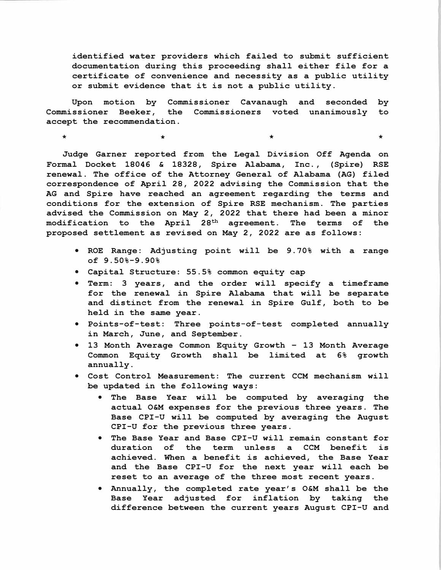identified water providers which failed to submit sufficient documentation during this proceeding shall either file for a certificate of convenience and necessity as a public utility or submit evidence that it is not a public utility.

Upon motion by Commissioner Cavanaugh and seconded by Commissioner Beeker, the Commissioners voted unanimously to accept the recommendation.

 $\star$   $\star$   $\star$   $\star$   $\star$   $\star$   $\star$   $\star$ 

Judge Garner reported from the Legal Division Off Agenda on Formal Docket 18046 & 18328, Spire Alabama, Inc. , (Spire) RSE renewal. The office of the Attorney General of Alabama (AG) filed correspondence of April 28, 2022 advising the Commission that the AG and Spire have reached an agreement regarding the terms and conditions for the extension of Spire RSE mechanism. The parties advised the Commission on May 2, 2022 that there had been a minor modification to the April 28<sup>th</sup> agreement. The terms of the proposed settlement as revised on May 2, 2022 are as follows:

- ROE Range: Adjusting point will be 9. 70% with a range of 9.50%-9.90%
- Capital Structure: 55.5% common equity cap
- Term: 3 years, and the order will specify a timeframe for the renewal in Spire Alabama that will be separate and distinct from the renewal in Spire Gulf, both to be held in the same year.
- Points-of-test: Three points-of-test completed annually in March, June, and September.
- 13 Month Average Common Equity Growth 13 Month Average Common Equity Growth shall be limited at 6% growth annually.
- Cost Control Measurement: The current CCM mechanism will be updated in the following ways:
	- The Base Year will be computed by averaging the actual O&M expenses for the previous three years. The Base CPI-U will be computed by averaging the August CPI-U for the previous three years.
	- The Base Year and Base CPI-U will remain constant for duration of the term unless a CCM benefit achieved. When a benefit is achieved, the Base Year and the Base CPI-U for the next year will each be reset to an average of the three most recent years.
	- Annually, the completed rate year's O&M shall be the Base Year adjusted for inflation by taking the difference between the current years August CPI-U and